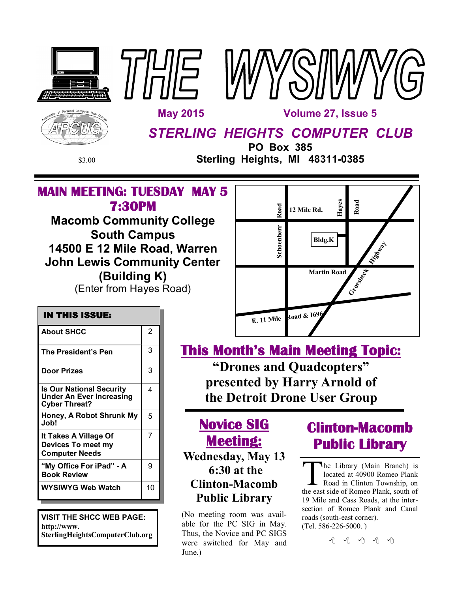





*STERLING HEIGHTS COMPUTER CLUB*

**PO Box 385** \$3.00 **Sterling Heights, MI 48311-0385**

## **MAIN MEETING: TUESDAY MAY 5 7:30PM**

THUE

**Macomb Community College South Campus 14500 E 12 Mile Road, Warren John Lewis Community Center (Building K)** (Enter from Hayes Road)



### **IN THIS ISSUE: About SHCC** 2 **The President's Pen** 3 **Door Prizes** 23 **Is Our National Security Under An Ever Increasing Cyber Threat?** 4 **Honey, A Robot Shrunk My Job!** 5 **It Takes A Village Of Devices To meet my Computer Needs** 7 **WYSIWYG Web Watch | 10 "My Office For iPad" - A Book Review** 9

**VISIT THE SHCC WEB PAGE: http://www. SterlingHeightsComputerClub.org** **This Month's Main Meeting Topic: "Drones and Quadcopters" presented by Harry Arnold of the Detroit Drone User Group** 

**Novice SIG Meeting: Wednesday, May 13 6:30 at the Clinton-Macomb Public Library**

(No meeting room was available for the PC SIG in May. Thus, the Novice and PC SIGS were switched for May and June.)

# **Clinton-Macomb Public Library**

The Library (Main Branch) is<br>located at 40900 Romeo Plank<br>Road in Clinton Township, on<br>the east side of Romeo Plank, south of he Library (Main Branch) is located at 40900 Romeo Plank Road in Clinton Township, on 19 Mile and Cass Roads, at the intersection of Romeo Plank and Canal roads (south-east corner). (Tel. 586-226-5000. )

有 有 有 有 有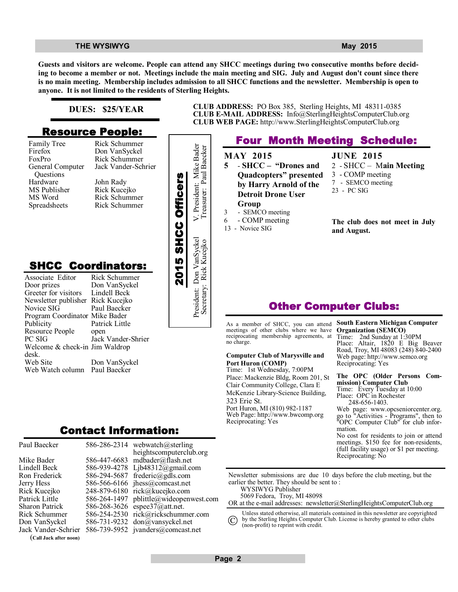**Guests and visitors are welcome. People can attend any SHCC meetings during two consecutive months before deciding to become a member or not. Meetings include the main meeting and SIG. July and August don't count since there is no main meeting. Membership includes admission to all SHCC functions and the newsletter. Membership is open to anyone. It is not limited to the residents of Sterling Heights.**

#### **DUES: \$25/YEAR**

### **Resource People:**

Family Tree Firefox FoxPro General Computer Questions Hardware MS Publisher MS Word Spreadsheets

Rick Schummer Don VanSyckel Rick Schummer Jack Vander-Schrier John Rady Rick Kucejko Rick Schummer Rick Schummer

### **SHCC Coordinators:**

| гашну ттес<br>Firefox<br>FoxPro<br>General Computer<br>Questions<br>Hardware<br>MS Publisher<br>MS Word<br>Spreadsheets                                      | <b>INIUN DUTTUMILITEI</b><br>Don VanSyckel<br>Rick Schummer<br>Jack Vander-Schrier<br>John Rady<br>Rick Kucejko<br>Rick Schummer<br>Rick Schummer |                    | President: Mike Bader    |
|--------------------------------------------------------------------------------------------------------------------------------------------------------------|---------------------------------------------------------------------------------------------------------------------------------------------------|--------------------|--------------------------|
| <b>SHCC Coordinators:</b><br>Associate Editor<br>Door prizes<br>Greeter for visitors<br>Newsletter publisher<br>Novice SIG<br>Program Coordinator Mike Bader | Rick Schummer<br>Don VanSyckel<br>Lindell Beck<br>Rick Kucejko<br>Paul Baecker                                                                    | 2015 SHCC Officers | President: Don VanSyckel |
| Publicity<br>Resource People<br>PC SIG<br>Welcome & check-in Jim Waldrop<br>desk.<br>Web Site<br>Web Watch column                                            | Patrick Little<br>open<br>Jack Vander-Shrier<br>Don VanSyckel<br>Paul Baecker                                                                     |                    |                          |
|                                                                                                                                                              | Contact Information:                                                                                                                              |                    |                          |

| Paul Baecker           |              | 586-286-2314 webwatch@sterling    |
|------------------------|--------------|-----------------------------------|
|                        |              | heightscomputerclub.org           |
| Mike Bader             |              | 586-447-6683 mdbader@flash.net    |
| Lindell Beck           | 586-939-4278 | Ljb48312@gmail.com                |
| Ron Frederick          | 586-294-5687 | frederic@gdls.com                 |
| Jerry Hess             |              | 586-566-6166 jhess@comcast.net    |
| Rick Kucejko           | 248-879-6180 | rick@kucejko.com                  |
| Patrick Little         | 586-264-1497 | pblittle@wideopenwest.com         |
| <b>Sharon Patrick</b>  | 586-268-3626 | espee37@att.net.                  |
| <b>Rick Schummer</b>   | 586-254-2530 | rick@rickschummer.com             |
| Don VanSyckel          | 586-731-9232 | don@vansyckel.net                 |
| Jack Vander-Schrier    |              | 586-739-5952 jvanders@comcast.net |
| (Call Jack after noon) |              |                                   |

**CLUB ADDRESS:** PO Box 385, Sterling Heights, MI 48311-0385 **CLUB E-MAIL ADDRESS:** Info@SterlingHeightsComputerClub.org **CLUB WEB PAGE:** http://www.SterlingHeightsComputerClub.org

### **Four Month Meeting Schedule:**

**MAY 2015 5** - **SHCC – "Drones and Quadcopters" presented by Harry Arnold of the Detroit Drone User Group** 3 - SEMCO meeting 6 - COMP meeting

13 - Novice SIG

Secretary: Rick Kucejko Treasurer: Paul Baecker

**JUNE 2015** 2 - SHCC – M**ain Meeting** 3 - COMP meeting 7 - SEMCO meeting 23 - PC SIG

**The club does not meet in July and August.**

### **Other Computer Clubs:**

As a member of SHCC, you can attend meetings of other clubs where we have reciprocating membership agreements, at no charge.

#### **Computer Club of Marysville and Port Huron (COMP)**

Time: 1st Wednesday, 7:00PM Place: Mackenzie Bldg, Room 201, St Clair Community College, Clara E McKenzie Library-Science Building, 323 Erie St. Port Huron, MI (810) 982-1187 Web Page: http://www.bwcomp.org Reciprocating: Yes

#### **South Eastern Michigan Computer Organization (SEMCO)**

Time: 2nd Sunday at 1:30PM Place: Altair, 1820 E Big Beaver Road, Troy, MI 48083 (248) 840-2400 Web page: http://www.semco.org Reciprocating: Yes

#### **The OPC (Older Persons Commission) Computer Club**  Time: Every Tuesday at 10:00 Place: OPC in Rochester 248-656-1403.

Web page: www.opcseniorcenter.org. go to "Activities - Programs", then to "OPC Computer Club" for club information.

No cost for residents to join or attend meetings. \$150 fee for non-residents, (full facility usage) or \$1 per meeting. Reciprocating: No

Newsletter submissions are due 10 days before the club meeting, but the earlier the better. They should be sent to : WYSIWYG Publisher

5069 Fedora, Troy, MI 48098

OR at the e-mail addresses: newsletter@SterlingHeightsComputerClub.org

Unless stated otherwise, all materials contained in this newsletter are copyrighted by the Sterling Heights Computer Club. License is hereby granted to other clubs  $\rm (C)$ 

(non-profit) to reprint with credit.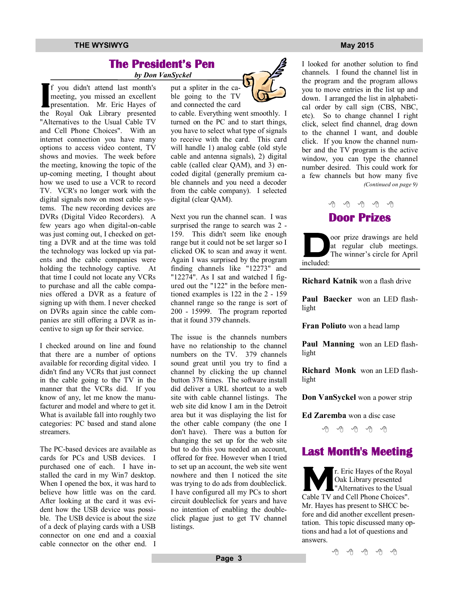#### **THE WYSIWYG MAY 2015**

### **The President's Pen**

 *by Don VanSyckel*

**IV Don**<br> **I** f you didn't attend last month's<br>
meeting, you missed an excellent<br>
presentation. Mr. Eric Hayes of f you didn't attend last month's meeting, you missed an excellent the Royal Oak Library presented "Alternatives to the Usual Cable TV and Cell Phone Choices". With an internet connection you have many options to access video content, TV shows and movies. The week before the meeting, knowing the topic of the up-coming meeting, I thought about how we used to use a VCR to record TV. VCR's no longer work with the digital signals now on most cable systems. The new recording devices are DVRs (Digital Video Recorders). A few years ago when digital-on-cable was just coming out, I checked on getting a DVR and at the time was told the technology was locked up via patents and the cable companies were holding the technology captive. At that time I could not locate any VCRs to purchase and all the cable companies offered a DVR as a feature of signing up with them. I never checked on DVRs again since the cable companies are still offering a DVR as incentive to sign up for their service.

I checked around on line and found that there are a number of options available for recording digital video. I didn't find any VCRs that just connect in the cable going to the TV in the manner that the VCRs did. If you know of any, let me know the manufacturer and model and where to get it. What is available fall into roughly two categories: PC based and stand alone streamers.

The PC-based devices are available as cards for PCs and USB devices. I purchased one of each. I have installed the card in my Win7 desktop. When I opened the box, it was hard to believe how little was on the card. After looking at the card it was evident how the USB device was possible. The USB device is about the size of a deck of playing cards with a USB connector on one end and a coaxial cable connector on the other end. I



to cable. Everything went smoothly. I turned on the PC and to start things, you have to select what type of signals to receive with the card. This card will handle 1) analog cable (old style cable and antenna signals), 2) digital cable (called clear QAM), and 3) encoded digital (generally premium cable channels and you need a decoder from the cable company). I selected digital (clear QAM).

Next you run the channel scan. I was surprised the range to search was 2 - 159. This didn't seem like enough range but it could not be set larger so I clicked OK to scan and away it went. Again I was surprised by the program finding channels like "12273" and "12274". As I sat and watched I figured out the "122" in the before mentioned examples is 122 in the 2 - 159 channel range so the range is sort of 200 - 15999. The program reported that it found 379 channels.

The issue is the channels numbers have no relationship to the channel numbers on the TV. 379 channels sound great until you try to find a channel by clicking the up channel button 378 times. The software install did deliver a URL shortcut to a web site with cable channel listings. The web site did know I am in the Detroit area but it was displaying the list for the other cable company (the one I don't have). There was a button for changing the set up for the web site but to do this you needed an account, offered for free. However when I tried to set up an account, the web site went nowhere and then I noticed the site was trying to do ads from doubleclick. I have configured all my PCs to short circuit doubleclick for years and have no intention of enabling the doubleclick plague just to get TV channel listings.



I looked for another solution to find channels. I found the channel list in the program and the program allows you to move entries in the list up and down. I arranged the list in alphabetical order by call sign (CBS, NBC, etc). So to change channel I right click, select find channel, drag down to the channel I want, and double click. If you know the channel number and the TV program is the active window, you can type the channel number desired. This could work for a few channels but how many five *(Continued on page 9)*



**D** oor prize drawings are held at regular club meetings. The winner's circle for April included:

**Richard Katnik** won a flash drive

**Paul Baecker** won an LED flashlight

**Fran Poliuto** won a head lamp

**Paul Manning** won an LED flashlight

**Richard Monk** won an LED flashlight

**Don VanSyckel** won a power strip

**Ed Zaremba** won a disc case

#### e e e e e

### **Last Month's Meeting**

**M** r. Eric Hayes of the Royal Oak Library presented "Alternatives to the Usual Cable TV and Cell Phone Choices". Mr. Hayes has present to SHCC before and did another excellent presentation. This topic discussed many options and had a lot of questions and answers.

中 丹 中 中 中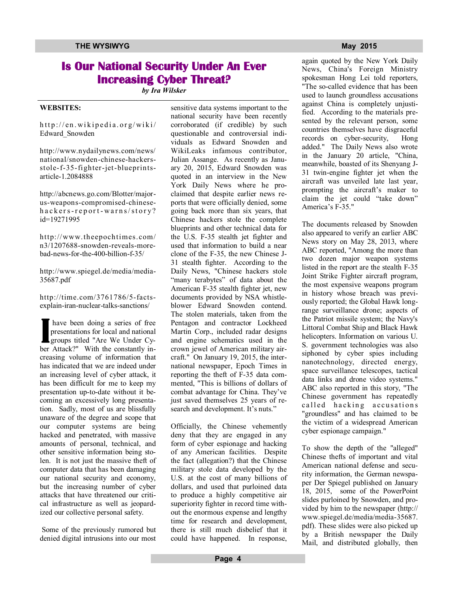### **Is Our National Security Under An Ever Increasing Cyber Threat?**

*by Ira Wilsker*

#### **WEBSITES:**

 $http://en.wikipedia.org/wiki/$ Edward\_Snowden

http://www.nydailynews.com/news/ national/snowden-chinese-hackersstole-f-35-fighter-jet-blueprintsarticle-1.2084888

http://abcnews.go.com/Blotter/majorus-weapons-compromised-chineseh a c k er s-r e p or t-warns/story? id=19271995

http://www.theepochtimes.com/ n3/1207688-snowden-reveals-morebad-news-for-the-400-billion-f-35/

http://www.spiegel.de/media/media-35687.pdf

http://time.com/3761786/5-factsexplain-iran-nuclear-talks-sanctions/

**I** have been doing a series of free presentations for local and national groups titled "Are We Under Cyber Attack?" With the constantly increasing volume of information that has indicated that we are indeed under an increasing level of cyber attack, it has been difficult for me to keep my presentation up-to-date without it becoming an excessively long presentation. Sadly, most of us are blissfully unaware of the degree and scope that our computer systems are being hacked and penetrated, with massive amounts of personal, technical, and other sensitive information being stolen. It is not just the massive theft of computer data that has been damaging our national security and economy, but the increasing number of cyber attacks that have threatened our critical infrastructure as well as jeopardized our collective personal safety.

 Some of the previously rumored but denied digital intrusions into our most

sensitive data systems important to the national security have been recently corroborated (if credible) by such questionable and controversial individuals as Edward Snowden and WikiLeaks infamous contributor, Julian Assange. As recently as January 20, 2015, Edward Snowden was quoted in an interview in the New York Daily News where he proclaimed that despite earlier news reports that were officially denied, some going back more than six years, that Chinese hackers stole the complete blueprints and other technical data for the U.S. F-35 stealth jet fighter and used that information to build a near clone of the F-35, the new Chinese J-31 stealth fighter. According to the Daily News, "Chinese hackers stole "many terabytes" of data about the American F-35 stealth fighter jet, new documents provided by NSA whistleblower Edward Snowden contend. The stolen materials, taken from the Pentagon and contractor Lockheed Martin Corp., included radar designs and engine schematics used in the crown jewel of American military aircraft." On January 19, 2015, the international newspaper, Epoch Times in reporting the theft of F-35 data commented, "This is billions of dollars of combat advantage for China. They've just saved themselves 25 years of research and development. It's nuts."

Officially, the Chinese vehemently deny that they are engaged in any form of cyber espionage and hacking of any American facilities. Despite the fact (allegation?) that the Chinese military stole data developed by the U.S. at the cost of many billions of dollars, and used that purloined data to produce a highly competitive air superiority fighter in record time without the enormous expense and lengthy time for research and development, there is still much disbelief that it could have happened. In response,

again quoted by the New York Daily News, China's Foreign Ministry spokesman Hong Lei told reporters, "The so-called evidence that has been used to launch groundless accusations against China is completely unjustified. According to the materials presented by the relevant person, some countries themselves have disgraceful records on cyber-security, Hong added." The Daily News also wrote in the January 20 article, "China, meanwhile, boasted of its Shenyang J-31 twin-engine fighter jet when the aircraft was unveiled late last year, prompting the aircraft's maker to claim the jet could "take down" America's F-35."

The documents released by Snowden also appeared to verify an earlier ABC News story on May 28, 2013, where ABC reported, "Among the more than two dozen major weapon systems listed in the report are the stealth F-35 Joint Strike Fighter aircraft program, the most expensive weapons program in history whose breach was previously reported; the Global Hawk longrange surveillance drone; aspects of the Patriot missile system; the Navy's Littoral Combat Ship and Black Hawk helicopters. Information on various U. S. government technologies was also siphoned by cyber spies including nanotechnology, directed energy, space surveillance telescopes, tactical data links and drone video systems." ABC also reported in this story, "The Chinese government has repeatedly called hacking accusations "groundless" and has claimed to be the victim of a widespread American cyber espionage campaign."

To show the depth of the "alleged" Chinese thefts of important and vital American national defense and security information, the German newspaper Der Spiegel published on January 18, 2015, some of the PowerPoint slides purloined by Snowden, and provided by him to the newspaper (http:// www.spiegel.de/media/media-35687. pdf). These slides were also picked up by a British newspaper the Daily Mail, and distributed globally, then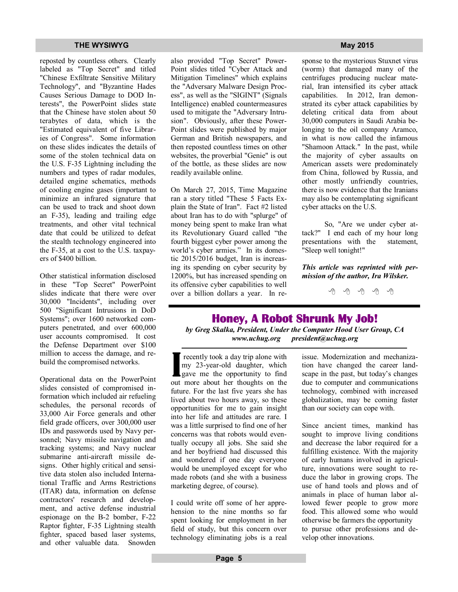reposted by countless others. Clearly labeled as "Top Secret" and titled "Chinese Exfiltrate Sensitive Military Technology", and "Byzantine Hades Causes Serious Damage to DOD Interests", the PowerPoint slides state that the Chinese have stolen about 50 terabytes of data, which is the "Estimated equivalent of five Libraries of Congress". Some information on these slides indicates the details of some of the stolen technical data on the U.S. F-35 Lightning including the numbers and types of radar modules, detailed engine schematics, methods of cooling engine gases (important to minimize an infrared signature that can be used to track and shoot down an F-35), leading and trailing edge treatments, and other vital technical date that could be utilized to defeat the stealth technology engineered into the F-35, at a cost to the U.S. taxpayers of \$400 billion.

Other statistical information disclosed in these "Top Secret" PowerPoint slides indicate that there were over 30,000 "Incidents", including over 500 "Significant Intrusions in DoD Systems"; over 1600 networked computers penetrated, and over 600,000 user accounts compromised. It cost the Defense Department over \$100 million to access the damage, and rebuild the compromised networks.

Operational data on the PowerPoint slides consisted of compromised information which included air refueling schedules, the personal records of 33,000 Air Force generals and other field grade officers, over 300,000 user IDs and passwords used by Navy personnel; Navy missile navigation and tracking systems; and Navy nuclear submarine anti-aircraft missile designs. Other highly critical and sensitive data stolen also included International Traffic and Arms Restrictions (ITAR) data, information on defense contractors' research and development, and active defense industrial espionage on the B-2 bomber, F-22 Raptor fighter, F-35 Lightning stealth fighter, spaced based laser systems, and other valuable data. Snowden also provided "Top Secret" Power-Point slides titled "Cyber Attack and Mitigation Timelines" which explains the "Adversary Malware Design Process", as well as the "SIGINT" (Signals Intelligence) enabled countermeasures used to mitigate the "Adversary Intrusion". Obviously, after these Power-Point slides were published by major German and British newspapers, and then reposted countless times on other websites, the proverbial "Genie" is out of the bottle, as these slides are now readily available online.

On March 27, 2015, Time Magazine ran a story titled "These 5 Facts Explain the State of Iran". Fact #2 listed about Iran has to do with "splurge" of money being spent to make Iran what its Revolutionary Guard called "the fourth biggest cyber power among the world's cyber armies." In its domestic 2015/2016 budget, Iran is increasing its spending on cyber security by 1200%, but has increased spending on its offensive cyber capabilities to well over a billion dollars a year. In re-

sponse to the mysterious Stuxnet virus (worm) that damaged many of the centrifuges producing nuclear material, Iran intensified its cyber attack capabilities. In 2012, Iran demonstrated its cyber attack capabilities by deleting critical data from about 30,000 computers in Saudi Arabia belonging to the oil company Aramco, in what is now called the infamous "Shamoon Attack." In the past, while the majority of cyber assaults on American assets were predominately from China, followed by Russia, and other mostly unfriendly countries, there is now evidence that the Iranians may also be contemplating significant cyber attacks on the U.S.

 So, "Are we under cyber attack?" I end each of my hour long presentations with the statement, "Sleep well tonight!"

*This article was reprinted with permission of the author, Ira Wilsker.*

 $A$   $A$   $B$   $A$   $A$ 

### **Honey, A Robot Shrunk My Job!**

*by Greg Skalka, President, Under the Computer Hood User Group, CA www.uchug.org president@uchug.org*

**I** recently took a day trip alone with my 23-year-old daughter, which gave me the opportunity to find out more about her thoughts on the future. For the last five years she has lived about two hours away, so these opportunities for me to gain insight into her life and attitudes are rare. I was a little surprised to find one of her concerns was that robots would eventually occupy all jobs. She said she and her boyfriend had discussed this and wondered if one day everyone would be unemployed except for who made robots (and she with a business marketing degree, of course).

I could write off some of her apprehension to the nine months so far spent looking for employment in her field of study, but this concern over technology eliminating jobs is a real issue. Modernization and mechanization have changed the career landscape in the past, but today's changes due to computer and communications technology, combined with increased globalization, may be coming faster than our society can cope with.

Since ancient times, mankind has sought to improve living conditions and decrease the labor required for a fulfilling existence. With the majority of early humans involved in agriculture, innovations were sought to reduce the labor in growing crops. The use of hand tools and plows and of animals in place of human labor allowed fewer people to grow more food. This allowed some who would otherwise be farmers the opportunity to pursue other professions and develop other innovations.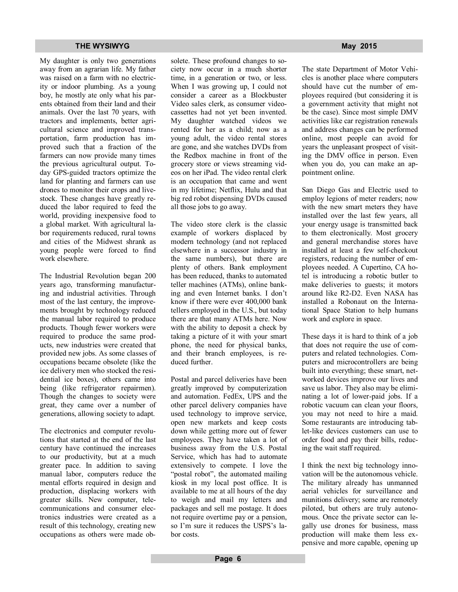My daughter is only two generations away from an agrarian life. My father was raised on a farm with no electricity or indoor plumbing. As a young boy, he mostly ate only what his parents obtained from their land and their animals. Over the last 70 years, with tractors and implements, better agricultural science and improved transportation, farm production has improved such that a fraction of the farmers can now provide many times the previous agricultural output. Today GPS-guided tractors optimize the land for planting and farmers can use drones to monitor their crops and livestock. These changes have greatly reduced the labor required to feed the world, providing inexpensive food to a global market. With agricultural labor requirements reduced, rural towns and cities of the Midwest shrank as young people were forced to find work elsewhere.

The Industrial Revolution began 200 years ago, transforming manufacturing and industrial activities. Through most of the last century, the improvements brought by technology reduced the manual labor required to produce products. Though fewer workers were required to produce the same products, new industries were created that provided new jobs. As some classes of occupations became obsolete (like the ice delivery men who stocked the residential ice boxes), others came into being (like refrigerator repairmen). Though the changes to society were great, they came over a number of generations, allowing society to adapt.

The electronics and computer revolutions that started at the end of the last century have continued the increases to our productivity, but at a much greater pace. In addition to saving manual labor, computers reduce the mental efforts required in design and production, displacing workers with greater skills. New computer, telecommunications and consumer electronics industries were created as a result of this technology, creating new occupations as others were made obsolete. These profound changes to society now occur in a much shorter time, in a generation or two, or less. When I was growing up, I could not consider a career as a Blockbuster Video sales clerk, as consumer videocassettes had not yet been invented. My daughter watched videos we rented for her as a child; now as a young adult, the video rental stores are gone, and she watches DVDs from the Redbox machine in front of the grocery store or views streaming videos on her iPad. The video rental clerk is an occupation that came and went in my lifetime; Netflix, Hulu and that big red robot dispensing DVDs caused all those jobs to go away.

The video store clerk is the classic example of workers displaced by modern technology (and not replaced elsewhere in a successor industry in the same numbers), but there are plenty of others. Bank employment has been reduced, thanks to automated teller machines (ATMs), online banking and even Internet banks. I don't know if there were ever 400,000 bank tellers employed in the U.S., but today there are that many ATMs here. Now with the ability to deposit a check by taking a picture of it with your smart phone, the need for physical banks, and their branch employees, is reduced further.

Postal and parcel deliveries have been greatly improved by computerization and automation. FedEx, UPS and the other parcel delivery companies have used technology to improve service, open new markets and keep costs down while getting more out of fewer employees. They have taken a lot of business away from the U.S. Postal Service, which has had to automate extensively to compete. I love the "postal robot", the automated mailing kiosk in my local post office. It is available to me at all hours of the day to weigh and mail my letters and packages and sell me postage. It does not require overtime pay or a pension, so I'm sure it reduces the USPS's labor costs.

The state Department of Motor Vehicles is another place where computers should have cut the number of employees required (but considering it is a government activity that might not be the case). Since most simple DMV activities like car registration renewals and address changes can be performed online, most people can avoid for years the unpleasant prospect of visiting the DMV office in person. Even when you do, you can make an appointment online.

San Diego Gas and Electric used to employ legions of meter readers; now with the new smart meters they have installed over the last few years, all your energy usage is transmitted back to them electronically. Most grocery and general merchandise stores have installed at least a few self-checkout registers, reducing the number of employees needed. A Cupertino, CA hotel is introducing a robotic butler to make deliveries to guests; it motors around like R2-D2. Even NASA has installed a Robonaut on the International Space Station to help humans work and explore in space.

These days it is hard to think of a job that does not require the use of computers and related technologies. Computers and microcontrollers are being built into everything; these smart, networked devices improve our lives and save us labor. They also may be eliminating a lot of lower-paid jobs. If a robotic vacuum can clean your floors, you may not need to hire a maid. Some restaurants are introducing tablet-like devices customers can use to order food and pay their bills, reducing the wait staff required.

I think the next big technology innovation will be the autonomous vehicle. The military already has unmanned aerial vehicles for surveillance and munitions delivery; some are remotely piloted, but others are truly autonomous. Once the private sector can legally use drones for business, mass production will make them less expensive and more capable, opening up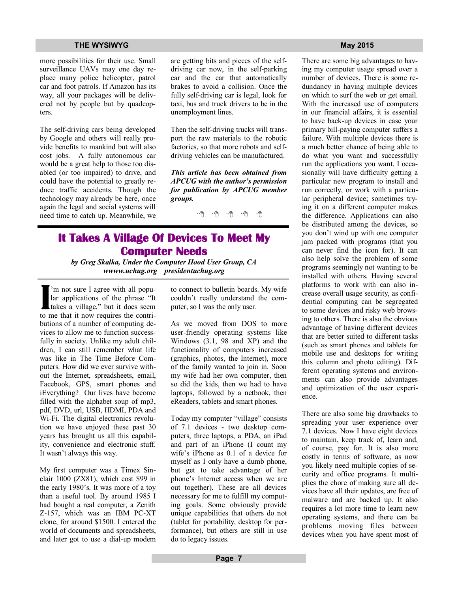#### **THE WYSIWYG MAY 2015**

more possibilities for their use. Small surveillance UAVs may one day replace many police helicopter, patrol car and foot patrols. If Amazon has its way, all your packages will be delivered not by people but by quadcopters.

The self-driving cars being developed by Google and others will really provide benefits to mankind but will also cost jobs. A fully autonomous car would be a great help to those too disabled (or too impaired) to drive, and could have the potential to greatly reduce traffic accidents. Though the technology may already be here, once again the legal and social systems will need time to catch up. Meanwhile, we  $\theta \oplus \theta \oplus \theta$ 

are getting bits and pieces of the selfdriving car now, in the self-parking car and the car that automatically brakes to avoid a collision. Once the fully self-driving car is legal, look for taxi, bus and truck drivers to be in the unemployment lines.

Then the self-driving trucks will transport the raw materials to the robotic factories, so that more robots and selfdriving vehicles can be manufactured.

*This article has been obtained from APCUG with the author's permission for publication by APCUG member groups.*

## **It Takes A Village Of Devices To Meet My Computer Needs**

*by Greg Skalka, Under the Computer Hood User Group, CA wwww.uchug.org presidentuchug.org*

**I** 'm not sure I agree with all popular applications of the phrase "It takes a village," but it does seem to me that it now requires the contributions of a number of computing devices to allow me to function successfully in society. Unlike my adult children, I can still remember what life was like in The Time Before Computers. How did we ever survive without the Internet, spreadsheets, email, Facebook, GPS, smart phones and iEverything? Our lives have become filled with the alphabet soup of mp3, pdf, DVD, url, USB, HDMI, PDA and Wi-Fi. The digital electronics revolution we have enjoyed these past 30 years has brought us all this capability, convenience and electronic stuff. It wasn't always this way.

My first computer was a Timex Sinclair 1000 (ZX81), which cost \$99 in the early 1980's. It was more of a toy than a useful tool. By around 1985 I had bought a real computer, a Zenith Z-157, which was an IBM PC-XT clone, for around \$1500. I entered the world of documents and spreadsheets, and later got to use a dial-up modem to connect to bulletin boards. My wife couldn't really understand the computer, so I was the only user.

As we moved from DOS to more user-friendly operating systems like Windows (3.1, 98 and XP) and the functionality of computers increased (graphics, photos, the Internet), more of the family wanted to join in. Soon my wife had her own computer, then so did the kids, then we had to have laptops, followed by a netbook, then eReaders, tablets and smart phones.

Today my computer "village" consists of 7.1 devices - two desktop computers, three laptops, a PDA, an iPad and part of an iPhone (I count my wife's iPhone as 0.1 of a device for myself as I only have a dumb phone, but get to take advantage of her phone's Internet access when we are out together). These are all devices necessary for me to fulfill my computing goals. Some obviously provide unique capabilities that others do not (tablet for portability, desktop for performance), but others are still in use do to legacy issues.

There are some big advantages to having my computer usage spread over a number of devices. There is some redundancy in having multiple devices on which to surf the web or get email. With the increased use of computers in our financial affairs, it is essential to have back-up devices in case your primary bill-paying computer suffers a failure. With multiple devices there is a much better chance of being able to do what you want and successfully run the applications you want. I occasionally will have difficulty getting a particular new program to install and run correctly, or work with a particular peripheral device; sometimes trying it on a different computer makes the difference. Applications can also be distributed among the devices, so you don't wind up with one computer jam packed with programs (that you can never find the icon for). It can also help solve the problem of some programs seemingly not wanting to be installed with others. Having several platforms to work with can also increase overall usage security, as confidential computing can be segregated to some devices and risky web browsing to others. There is also the obvious advantage of having different devices that are better suited to different tasks (such as smart phones and tablets for mobile use and desktops for writing this column and photo editing). Different operating systems and environments can also provide advantages and optimization of the user experience.

There are also some big drawbacks to spreading your user experience over 7.1 devices. Now I have eight devices to maintain, keep track of, learn and, of course, pay for. It is also more costly in terms of software, as now you likely need multiple copies of security and office programs. It multiplies the chore of making sure all devices have all their updates, are free of malware and are backed up. It also requires a lot more time to learn new operating systems, and there can be problems moving files between devices when you have spent most of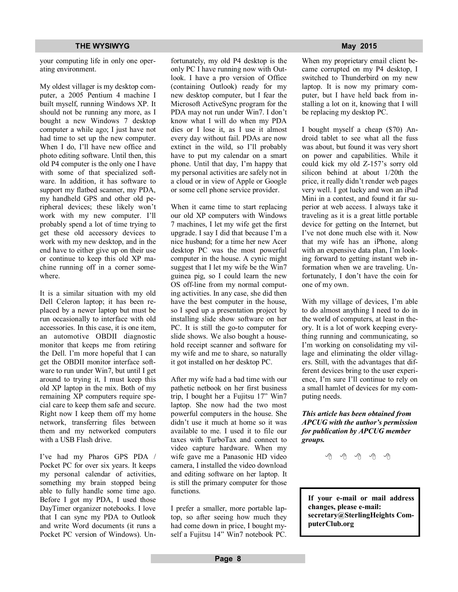your computing life in only one operating environment.

My oldest villager is my desktop computer, a 2005 Pentium 4 machine I built myself, running Windows XP. It should not be running any more, as I bought a new Windows 7 desktop computer a while ago; I just have not had time to set up the new computer. When I do, I'll have new office and photo editing software. Until then, this old P4 computer is the only one I have with some of that specialized software. In addition, it has software to support my flatbed scanner, my PDA, my handheld GPS and other old peripheral devices; these likely won't work with my new computer. I'll probably spend a lot of time trying to get these old accessory devices to work with my new desktop, and in the end have to either give up on their use or continue to keep this old XP machine running off in a corner somewhere.

It is a similar situation with my old Dell Celeron laptop; it has been replaced by a newer laptop but must be run occasionally to interface with old accessories. In this case, it is one item, an automotive OBDII diagnostic monitor that keeps me from retiring the Dell. I'm more hopeful that I can get the OBDII monitor interface software to run under Win7, but until I get around to trying it, I must keep this old XP laptop in the mix. Both of my remaining XP computers require special care to keep them safe and secure. Right now I keep them off my home network, transferring files between them and my networked computers with a USB Flash drive.

I've had my Pharos GPS PDA / Pocket PC for over six years. It keeps my personal calendar of activities, something my brain stopped being able to fully handle some time ago. Before I got my PDA, I used those DayTimer organizer notebooks. I love that I can sync my PDA to Outlook and write Word documents (it runs a Pocket PC version of Windows). Unfortunately, my old P4 desktop is the only PC I have running now with Outlook. I have a pro version of Office (containing Outlook) ready for my new desktop computer, but I fear the Microsoft ActiveSync program for the PDA may not run under Win7. I don't know what I will do when my PDA dies or I lose it, as I use it almost every day without fail. PDAs are now extinct in the wild, so I'll probably have to put my calendar on a smart phone. Until that day, I'm happy that my personal activities are safely not in a cloud or in view of Apple or Google or some cell phone service provider.

When it came time to start replacing our old XP computers with Windows 7 machines, I let my wife get the first upgrade. I say I did that because I'm a nice husband; for a time her new Acer desktop PC was the most powerful computer in the house. A cynic might suggest that I let my wife be the Win7 guinea pig, so I could learn the new OS off-line from my normal computing activities. In any case, she did then have the best computer in the house, so I sped up a presentation project by installing slide show software on her PC. It is still the go-to computer for slide shows. We also bought a household receipt scanner and software for my wife and me to share, so naturally it got installed on her desktop PC.

After my wife had a bad time with our pathetic netbook on her first business trip, I bought her a Fujitsu 17" Win7 laptop. She now had the two most powerful computers in the house. She didn't use it much at home so it was available to me. I used it to file our taxes with TurboTax and connect to video capture hardware. When my wife gave me a Panasonic HD video camera, I installed the video download and editing software on her laptop. It is still the primary computer for those functions.

I prefer a smaller, more portable laptop, so after seeing how much they had come down in price, I bought myself a Fujitsu 14" Win7 notebook PC.

When my proprietary email client became corrupted on my P4 desktop, I switched to Thunderbird on my new laptop. It is now my primary computer, but I have held back from installing a lot on it, knowing that I will be replacing my desktop PC.

I bought myself a cheap (\$70) Android tablet to see what all the fuss was about, but found it was very short on power and capabilities. While it could kick my old Z-157's sorry old silicon behind at about 1/20th the price, it really didn't render web pages very well. I got lucky and won an iPad Mini in a contest, and found it far superior at web access. I always take it traveling as it is a great little portable device for getting on the Internet, but I've not done much else with it. Now that my wife has an iPhone, along with an expensive data plan, I'm looking forward to getting instant web information when we are traveling. Unfortunately, I don't have the coin for one of my own.

With my village of devices, I'm able to do almost anything I need to do in the world of computers, at least in theory. It is a lot of work keeping everything running and communicating, so I'm working on consolidating my village and eliminating the older villagers. Still, with the advantages that different devices bring to the user experience, I'm sure I'll continue to rely on a small hamlet of devices for my computing needs.

*This article has been obtained from APCUG with the author's permission for publication by APCUG member groups.*

平 平 平 平 平

**If your e-mail or mail address changes, please e-mail: secretary@SterlingHeights ComputerClub.org**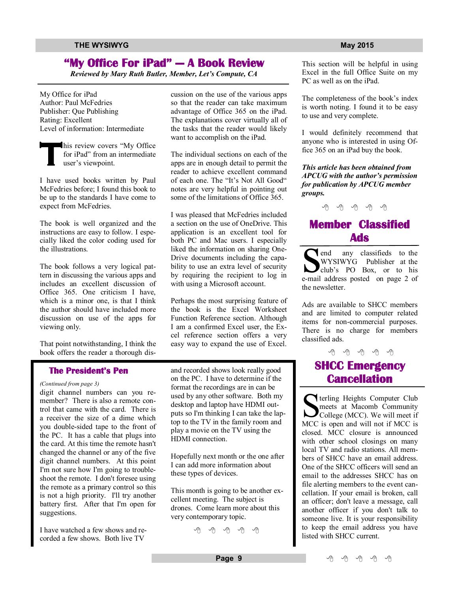### **"My Office For iPad" — A Book Review**

*Reviewed by Mary Ruth Butler, Member, Let's Compute, CA*

My Office for iPad Author: Paul McFedries Publisher: Que Publishing Rating: Excellent Level of information: Intermediate

**T** his review covers "My Office for iPad" from an intermediate user's viewpoint.

I have used books written by Paul McFedries before; I found this book to be up to the standards I have come to expect from McFedries.

The book is well organized and the instructions are easy to follow. I especially liked the color coding used for the illustrations.

The book follows a very logical pattern in discussing the various apps and includes an excellent discussion of Office 365. One criticism I have, which is a minor one, is that I think the author should have included more discussion on use of the apps for viewing only.

That point notwithstanding, I think the book offers the reader a thorough dis-

### **The President's Pen**

*(Continued from page 3)*

digit channel numbers can you remember? There is also a remote control that came with the card. There is a receiver the size of a dime which you double-sided tape to the front of the PC. It has a cable that plugs into the card. At this time the remote hasn't changed the channel or any of the five digit channel numbers. At this point I'm not sure how I'm going to troubleshoot the remote. I don't foresee using the remote as a primary control so this is not a high priority. I'll try another battery first. After that I'm open for suggestions.

I have watched a few shows and recorded a few shows. Both live TV

cussion on the use of the various apps so that the reader can take maximum advantage of Office 365 on the iPad. The explanations cover virtually all of the tasks that the reader would likely want to accomplish on the iPad.

The individual sections on each of the apps are in enough detail to permit the reader to achieve excellent command of each one. The "It's Not All Good" notes are very helpful in pointing out some of the limitations of Office 365.

I was pleased that McFedries included a section on the use of OneDrive. This application is an excellent tool for both PC and Mac users. I especially liked the information on sharing One-Drive documents including the capability to use an extra level of security by requiring the recipient to log in with using a Microsoft account.

Perhaps the most surprising feature of the book is the Excel Worksheet Function Reference section. Although I am a confirmed Excel user, the Excel reference section offers a very easy way to expand the use of Excel.

and recorded shows look really good on the PC. I have to determine if the format the recordings are in can be used by any other software. Both my desktop and laptop have HDMI outputs so I'm thinking I can take the laptop to the TV in the family room and play a movie on the TV using the HDMI connection.

Hopefully next month or the one after I can add more information about these types of devices.

This month is going to be another excellent meeting. The subject is drones. Come learn more about this very contemporary topic.

9 9 9 9 9

This section will be helpful in using Excel in the full Office Suite on my PC as well as on the iPad.

The completeness of the book's index is worth noting. I found it to be easy to use and very complete.

I would definitely recommend that anyone who is interested in using Office 365 on an iPad buy the book.

*This article has been obtained from APCUG with the author's permission for publication by APCUG member groups.*

## **Member Classified Ads**

**Ads**<br> **S** end any classifieds to the<br>
WYSIWYG Publisher at the<br>
club's PO Box, or to his<br>
e-mail address posted on page 2 of any classifieds to the WYSIWYG Publisher at the club's PO Box, or to his the newsletter.

Ads are available to SHCC members and are limited to computer related items for non-commercial purposes. There is no charge for members classified ads.

## 平 平 平 平 平 **SHCC Emergency Cancellation**

**S**<br> **S**<br>
Lender and Macomb Community<br>
College (MCC). We will meet if<br>
MCC is onen and will not if MCC is meets at Macomb Community College (MCC). We will meet if MCC is open and will not if MCC is closed. MCC closure is announced with other school closings on many local TV and radio stations. All members of SHCC have an email address. One of the SHCC officers will send an email to the addresses SHCC has on file alerting members to the event cancellation. If your email is broken, call an officer; don't leave a message, call another officer if you don't talk to someone live. It is your responsibility to keep the email address you have listed with SHCC current.